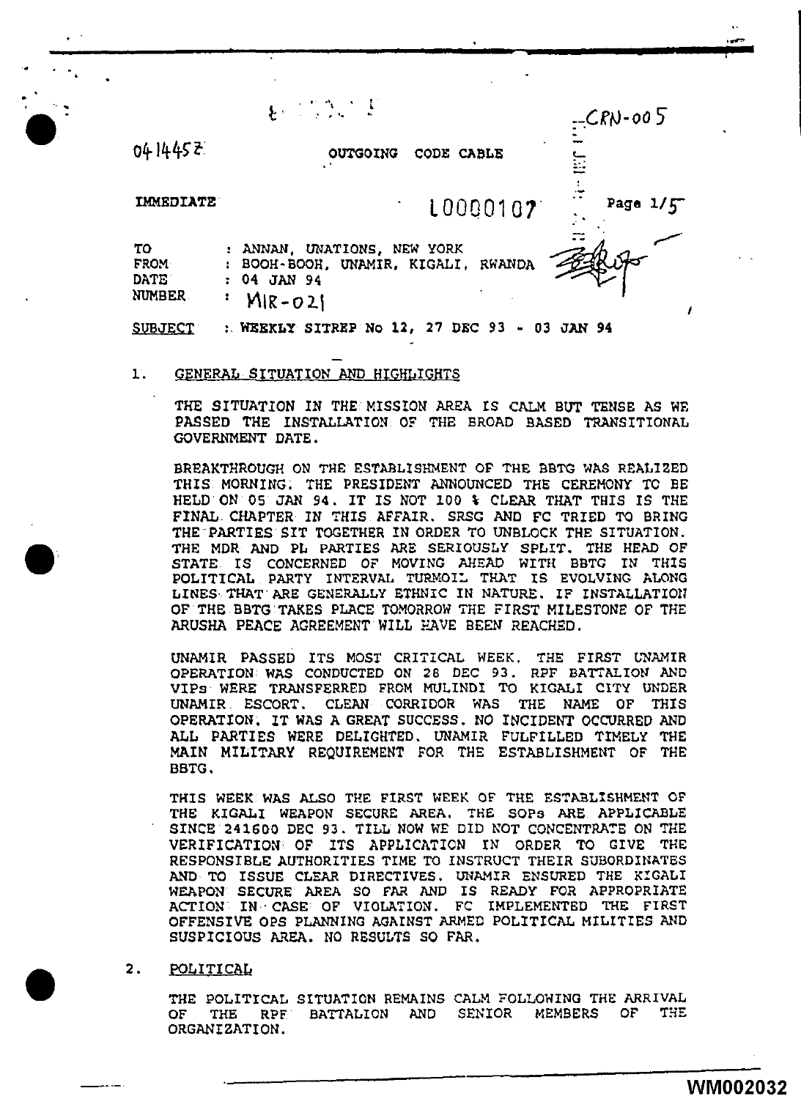$\frac{1}{2}$  .  $\frac{1}{2}$  .  $\frac{1}{2}$  .  $\frac{1}{2}$  .  $\frac{1}{2}$  .  $\frac{1}{2}$  .  $\frac{1}{2}$  .  $\frac{1}{2}$  .  $\frac{1}{2}$  .  $\frac{1}{2}$  .  $\frac{1}{2}$  .  $\frac{1}{2}$  .  $\frac{1}{2}$  .  $\frac{1}{2}$  .  $\frac{1}{2}$  .  $\frac{1}{2}$  .  $\frac{1}{2}$  .  $\frac{1}{2}$  .  $\frac{1$ 

04 1445 2

 $\bullet$ 

•

•

OUTGOING CODE CABLE

IMMEDIATE

10000107 Page 1/5

| TО          | : ANNAN, UNATIONS, NEW YORK         | $\sim$ $\sim$ |
|-------------|-------------------------------------|---------------|
| <b>FROM</b> | : BOOH-BOOH, UNAMIR, KIGALI, RWANDA |               |
| <b>DATE</b> | : 04 JAN 94                         |               |
| NUMBER      | $MIR-021$                           |               |

<u>SUBJECT : WEEKLY SITREP No 12, 27 DEC 93 - 03 JAN 94</u>

#### 1. GENERAL SITUATION AND HIGHLIGHTS

THE SITUATION IN THE MISSION AREA IS CALM BUT TENSE AS WE PASSED THE INSTALLATION OF THE BROAD BASED TRANSITIONAL GOVERNMENT DATE.

BREAKTHROUGH ON THE ESTABLISHMENT OF THE BBTG WAS REALIZED THIS MORNING. THE PRESIDENT ANNOUNCED THE CEREMONY TC BE HELD ON 05 JAN 94. IT IS NOT 100 % CLEAR THAT THIS IS THE FINAL CHAPTER IN THIS AFFAIR. SRSG AND FC TRIED TO BRING THE PARTIES SIT TOGETHER IN ORDER TO UNBLOCK THE SITUATION. THE MDR AND PL PARTIES ARE SERIOUSLY SPLIT. THE HEAD OF STATE IS CONCERNED OF MOVING AHEAD WITH BBTC IN THIS POLITICAL PARTY INTERVAL TURMOIL THAT IS EVOLVING ALONG LINES THAT ARE GENERALLY ETHNIC IN NATURE. IF INSTALLATION OF THE BBTG TAKES PLACE TOMORROW THE FIRST MILESTONE OF THE ARUSHA PEACE AGREEMENT WILL HAVE BEEN REACHED.

UNAMIR PASSED ITS MOST CRITICAL WEEK. THE FIRST L'NAMIR OPERATION WAS CONDUCTED ON 28 DEC 93. RPF BATTALION AND VIPs WERE TRANSFERRED FROM MULINO! TO KIGALI CITY UNDER UNAMIR ESCORT. CLEAN CORRIDOR WAS THE NAME OF THIS OPERATION. IT WAS A GREAT SUCCESS. NO INCIDENT OCCURRED AND ALL PARTIES WERE DELIGHTED. UNAMIR FULFILLED TIMELY THE MAIN MILITARY REQUIREMENT FOR THE ESTABLISHMENT OF THE BBTG.

THIS WEEK WAS ALSO THE FIRST WEEK OF THE ESTABLISHMENT OF THE KIGALI WEAPON SECURE AREA. THE SOPS ARE APPLICABLE SINCE 241600 DEC 93. TILL NOW WE DID NOT CONCENTRATE ON THE VERIFICATION OF ITS APPLICATION IN ORDER TO GIVE THE RESPONSIBLE AUTHORITIES TIME TO INSTRUCT THEIR SUBORDINATES AND TO ISSUE CLEAR DIRECTIVES. UNAMIR ENSURED THE KIGALI WEAPON SECURE AREA SO FAR AND IS READY FOR APPROPRIATE ACTION IN · CASE OF VIOLATION. FC IMPLEMENTBD THE FIRST OFFENSIVE OPS PLANNING AGAINST ARMED POLITICAL MILITIES AND SUSPICIOUS AREA. NO RESULTS SO FAR.

### 2. POLITICAL

THE POLITICAL SITUATION REMAINS CALM FOLLOWING THE ARRIVAL OF THE RPF BATTALION AND SENIOR MEMBERS OF THE ORGANIZATION,

I

,...,.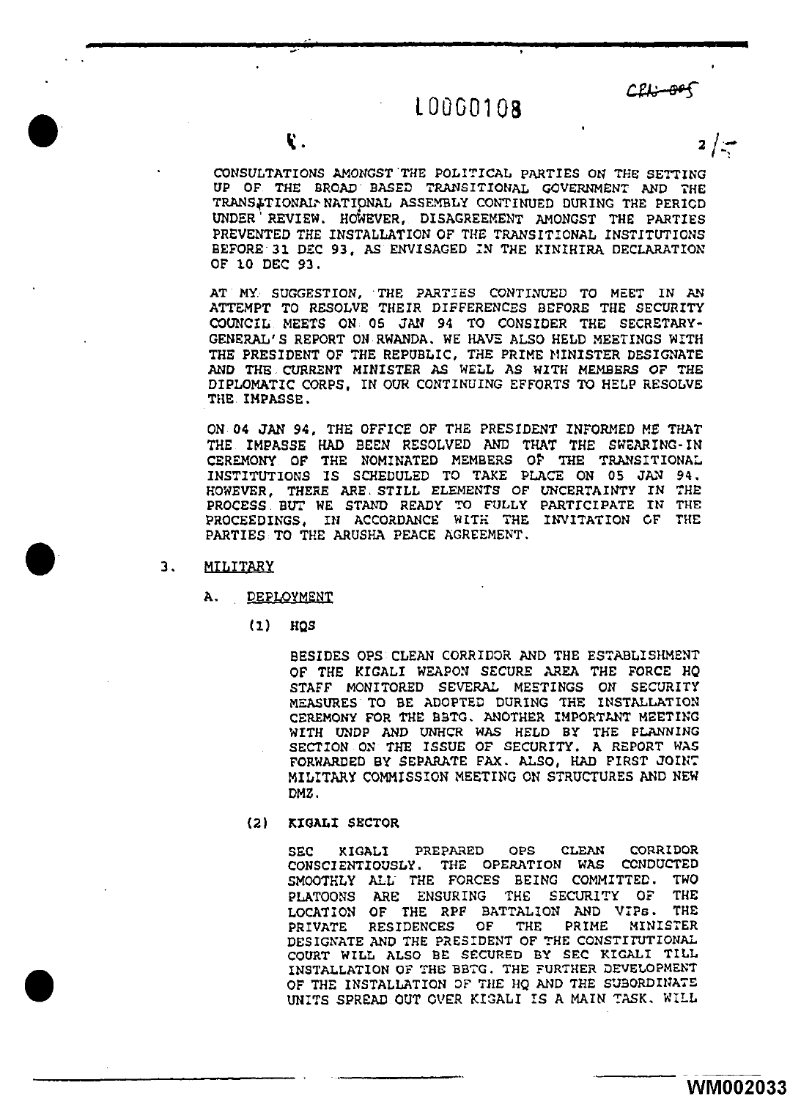# $L$ 0060108 CEL<del>: 005</del>

2 /·--,

CONSULTATIONS AMONGST THE POLITICAL PARTIES ON THE SETTING UP OF THE BROAD BASED TRANSITIONAL GOVERNMENT AND THE TRANSITIONAL-NATIONAL ASSEMBLY CONTINUED DURING THE PERICD UNDER<sup>'</sup> REVIEW. HOWEVER, DISAGREEMENT AMONGST THE PARTIES PREVENTED THE INSTALLATION OF THE TRANSITIONAL INSTITUTIONS BEFORE 31 DEC 93, AS ENVISAGED IN THE KINIHIRA DECLARATION OF lO DEC 93.

AT MY SUGGESTION, THE PARTIES CONTINUED TO MEET IN AN ATTEMPT *TO* RESOLVE THEIR DIFFERENCES BEfORE THE SECURITY COUNCIL MEETS ON 05 JAN 94 TO CONSIDER THE SECRETARY-GENERAL'S REPORT ON RWANDA. WE HAVE ALSO HELD MEETINGS WITH THE PRESIDENT OF THE REPUBLIC, THE PRIME NINISTER DESIGNATE AND THE CURRENT MINISTER AS WELL AS WITH MEMBERS OF THE DIPLOMATIC CORPS, IN OUR CONTINUING EFFORTS TO HELP RESOLVE THE IMPASSE.

ON 04 JAN 94, THE OFFICE OF THE PRESIDENT INFORMED ME THAT THE IMPASSE HAD BEEN RESOLVED AND THAT THE SWEARING- IN CEREMONY OF THE NOMINATED MEMBERS OF THE TRANSITIONAL INSTITUTIONS IS SCHEDULED TO TAKE PLACE ON 05 JAN 94.<br>HOWEVER, THERE ARE STILL ELEMENTS OF UNCERTAINTY IN THE HOWEVER, THERE ARE STILL ELEMENTS OF UNCERTAINTY IN THE PROCESS BUT WE STAND READY TO FULLY PARTICIPATE IN THE PROCEEDINGS, IN ACCORDANCE WITH THE INVITATION OF THE PARTIES TO THE ARUSHA PEACE AGREEMENT.

3. MILITARY

•

A. DEPLOyMgNT

 $(1)$  HQS

BESIDES OPS CLEAN CORRIDOR AND THE ESTABLISHMENT OF THE KIGALI WEAPON SECURE AREA THE FORCE HQ STAFF MONITORED SEVERAL MEETINGS on SECURITY MEASURES TO BE ADOPTED DURING THE INSTALLATION CEREMONY FOR THE BBTG. ANOTHER IMPORTANT MEETING WITH UNDP AND UNHCR WAS HELD BY THE PLANNING SECTION ON THE ISSUE OF SECURITY. A REPORT WAS FORWARDED BY SEPARATE FAX. ALSO, HAD FIRST JOINT MILITARY COMMISSION MEETING ON STRUCTURES AND NEW DMZ.

(2) KIGALI SECTOR

> SEC KIGALI PREPARED OPS CLEAN CORRIDOR CONSCIENTIOUSLY. THE OPERATION WAS CONDUCTED SMOOTHLY ALL. THE FORCES BEING COMMITTED. TWO PLATOONS ARE ENSURING THE SECURITY OF THE RELATION AND USE. LOCATION OF THE RPF BATTALION AND VIPS.<br>PRIVATE RESIDENCES OF THE PRIME MIN PRIME MINISTER DESIGNATE AND THE PRESIDENT OF THE CONSTITUTIONAL COURT WILL ALSO BE: SECURED BY SEC KIGALI TILL INSTALLATION OF THE BBTG. THE FURTHER DEVELOPMENT OF THE INSTALLATION OF THE HQ AND THE SUBORDINATE UNITS SPREAD OUT OVER KIGALI IS A MAIN TASK. WILL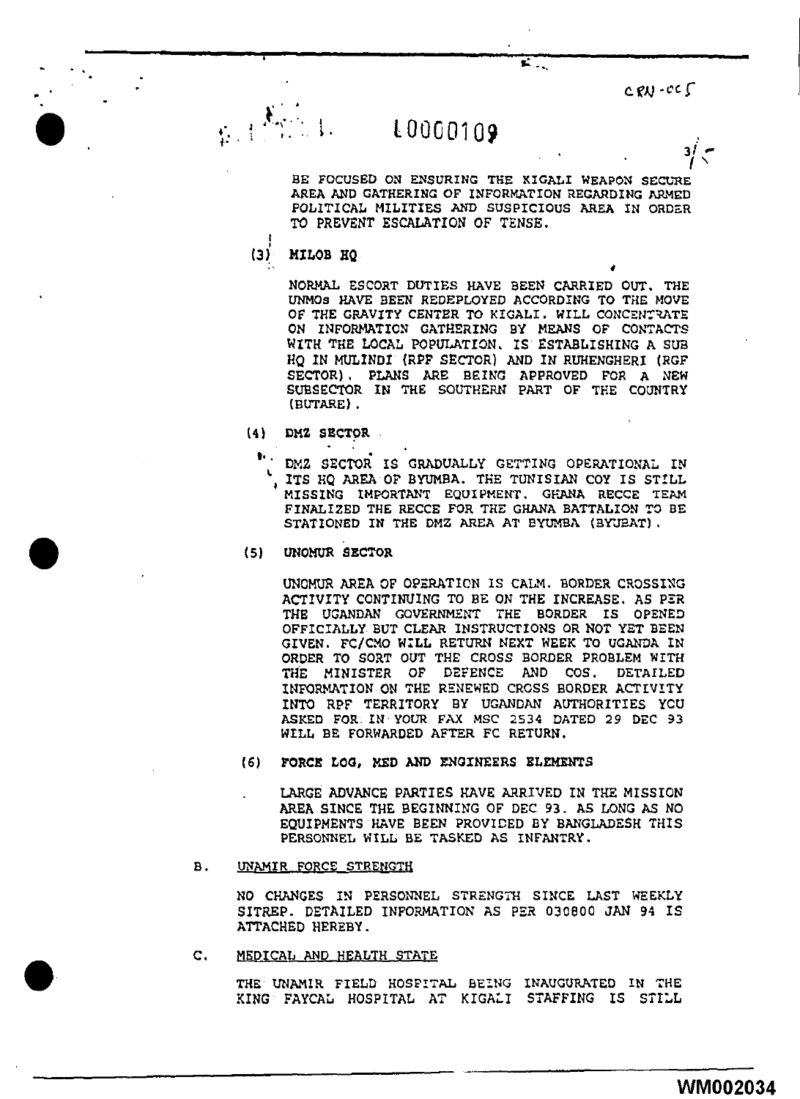$C$   $R$  $V$   $-C$   $C$ 

ا 3

## L0000109

BE FOCUSED ON ENSURING THE KIGALI WEAPON SECURE AREA AND GATHERING OF INFORMATION REGARDING ARMED POLITICAL MILITIES AND SUSPICIOUS AREA IN ORDER TO PREVENT ESCALATION OF TENSE.

Z.,

 $(3)^{n}$ 

#### MILOB HQ

 $\gamma\in\mathbb{N}$ 

NORMAL ESCORT DUTIES HAVE BEEN CARRIED OUT. THE UNMOS HAVE BEEN REDEPLOYED ACCORDING TO THE MOVE OF THE GRAVITY CENTER TO KIGALI. WILL CONCENTRATE ON INFORMATION GATHERING BY MEANS OF CONTACTS WITH THE LOCAL POPULATION. IS ESTABLISHING A SUB HO IN MULINDI (RPF SECTOR) AND IN RUHENGHERI (RGF SECTOR), PLANS ARE BEING APPROVED FOR A NEW SUBSECTOR IN THE SOUTHERN PART OF THE COUNTRY (BUTARE).

- $(4)$ DMZ SECTOR
	- ٠. DMZ SECTOR IS GRADUALLY GETTING OPERATIONAL IN ITS HO AREA OF BYUMBA. THE TUNISIAN COY IS STILL MISSING IMPORTANT EQUIPMENT, GHANA RECCE TEAM FINALIZED THE RECCE FOR THE GHANA BATTALION TO BE STATIONED IN THE DMZ AREA AT BYUMBA (BYUBAT).
- UNOMUR SECTOR (5).

UNOMUR AREA OF OPERATION IS CALM. BORDER CROSSING ACTIVITY CONTINUING TO BE ON THE INCREASE, AS PER THE UGANDAN GOVERNMENT THE BORDER IS OPENED OFFICIALLY BUT CLEAR INSTRUCTIONS OR NOT YET BEEN GIVEN. FC/CMO WILL RETURN NEXT WEEK TO UGANDA IN ORDER TO SORT OUT THE CROSS BORDER PROBLEM WITH MINISTER OF DEFENCE AND COS. DETAILED THE INFORMATION ON THE RENEWED CROSS BORDER ACTIVITY INTO RPF TERRITORY BY UGANDAN AUTHORITIES YOU ASKED FOR IN YOUR FAX MSC 2534 DATED 29 DEC 93 WILL BE FORWARDED AFTER FC RETURN.

- $(6)$ FORCE LOG, MED AND ENGINEERS ELEMENTS
	- LARGE ADVANCE PARTIES HAVE ARRIVED IN THE MISSION AREA SINCE THE BEGINNING OF DEC 93. AS LONG AS NO EQUIPMENTS HAVE BEEN PROVIDED BY BANGLADESH THIS PERSONNEL WILL BE TASKED AS INFANTRY.
- **B**. UNAMIR FORCE STRENGTH

NO CHANGES IN PERSONNEL STRENGTH SINCE LAST WEEKLY SITREP. DETAILED INFORMATION AS PER 030800 JAN 94 IS ATTACHED HEREBY.

 $\mathbf{c}$ . MEDICAL AND HEALTH STATE

> THE UNAMIR FIELD HOSFITAL BEING INAUGURATED IN THE KING FAYCAL HOSPITAL AT KIGALI STAFFING IS STILL

> > WM002034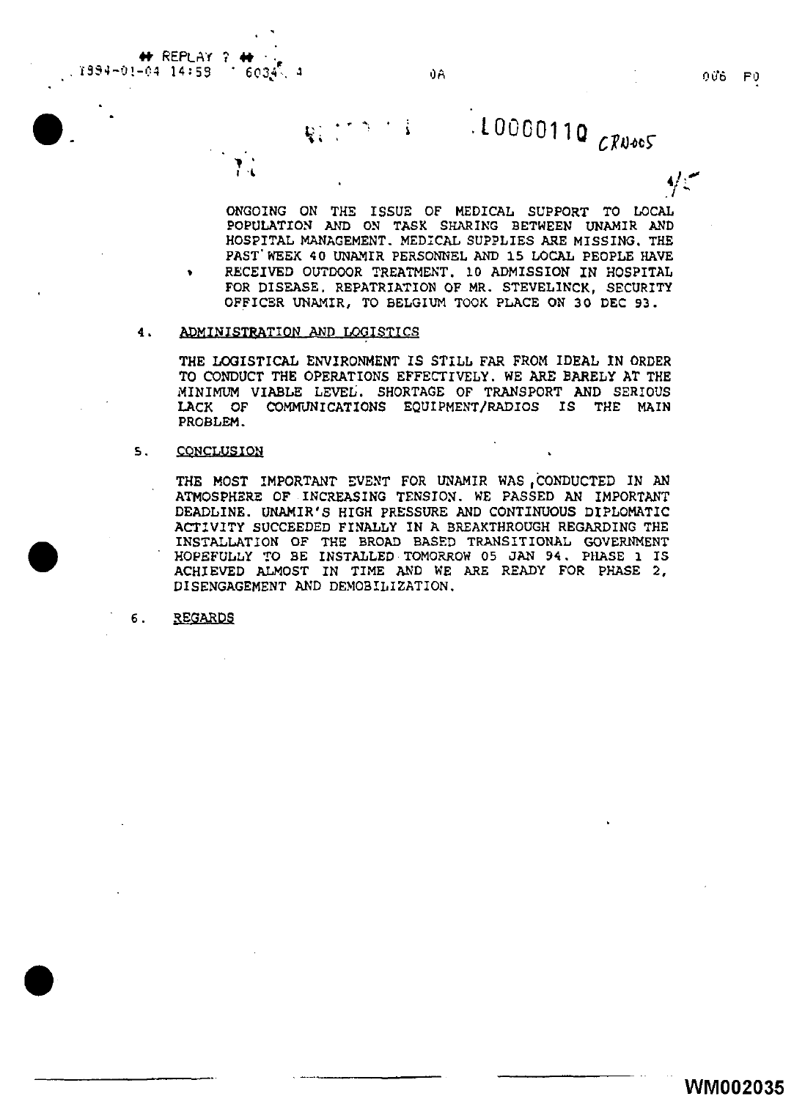**+t** REPLr'\i ? **+t** · . . î994-01-04 14:59 î. 6034<sup>5</sup>. A QUA QA QUA QUARTER DIN DINA QUARTER D

 $\bullet$ .

•

•

**RESERVE** 

**4'** , .... '/ ~

 $10000110$  *CRNOOS* 

ONGOING ON THE ISSUE OF MEDICAL SUPPORT TO LOCAL POPULATION AND ON TASK SHARING BETWEEN UNAMIR AND HOSPITAL MANAGEMENT. MEDICAL SUPPLIES ARE MISSING. THE PAST' WEEK 40 UNAMIR PERSONNEL AND 15 LOCAL PEOPLE HAVE RECEIVED OUTDOOR TREATMENT. 10 ADMISSION IN HOSPITAL FOR DISEASE. REPATRIATION OF MR. STEVELINCK, SECURITY OFFICER UNAMIR, TO BELGIUM TOOK PLACE ON 30 DEC 93.

#### 4. ADMINISTRATION AND LOGISTICS

 $\mathbf{v}^{\dagger}$ . I .•

THE LOGISTICAL ENVIRONMENT IS STILL FAR FROM IDEAL IN ORDER TO CONDUCT THE OPERATIONS EFFECTIVELY. WE ARE BARELY AT THE MINIMUM VIABLE LEVEL. SHORTAGE OF TRANSPORT AND SERIOUS LACK OF COMMUNICATIONS EQUIPMENT/RADIOS IS THE MAIN PROBLEM.

#### 5. CONCLUSION

THE MOST IMPORTANT EVENT FOR UNAMIR WAS CONDUCTED IN AN ATMOSPHERE OF INCREASING TENSION. WE PASSED AN IMPORTANT DEADLINE. UNAMIR'S HIGH PRESSURE AND CONTINUOUS DIPLOMATIC ACTIVITY SUCCEEDED FINALLY IN A BREAKTHROUGH REGARDING THE INSTALLATION OF THE BROAD BASED TRANSITIONAL GOVERNMENT HOPEFULLY TO BE INSTALLED TOMORROW 05 JAN 94. PHASE l IS ACHIEVED ALMOST IN TIME AND WE ARE READY FOR PHASE 2, DISENGAGEMENT AND DEMOBILIZATION.

6 • **REGARDS**